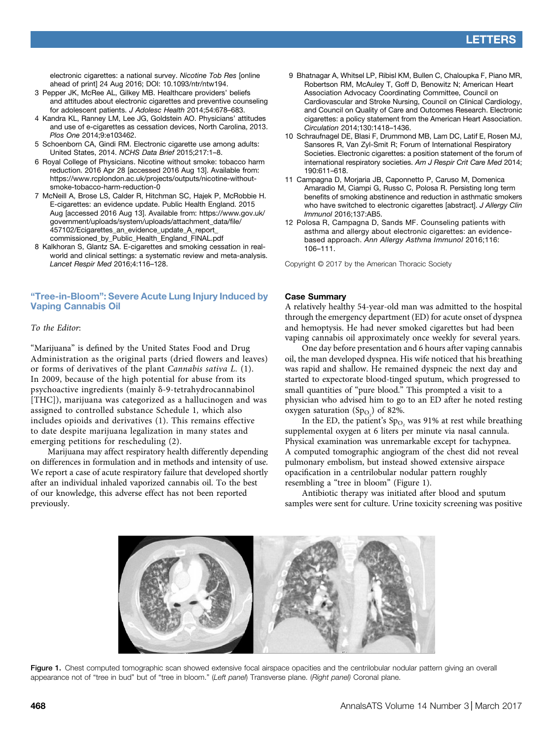electronic cigarettes: a national survey. Nicotine Tob Res [online ahead of print] 24 Aug 2016; DOI: [10.1093/ntr/ntw194.](https://dx.doi.org/10.1093/ntr/ntw194)

- 3 Pepper JK, McRee AL, Gilkey MB. Healthcare providers' beliefs and attitudes about electronic cigarettes and preventive counseling for adolescent patients. J Adolesc Health 2014;54:678–683.
- 4 Kandra KL, Ranney LM, Lee JG, Goldstein AO. Physicians' attitudes and use of e-cigarettes as cessation devices, North Carolina, 2013. Plos One 2014;9:e103462.
- 5 Schoenborn CA, Gindi RM. Electronic cigarette use among adults: United States, 2014. NCHS Data Brief 2015;217:1–8.
- 6 Royal College of Physicians. Nicotine without smoke: tobacco harm reduction. 2016 Apr 28 [accessed 2016 Aug 13]. Available from: [https://www.rcplondon.ac.uk/projects/outputs/nicotine-without](https://www.rcplondon.ac.uk/projects/outputs/nicotine-without-smoke-tobacco-harm-reduction-0)[smoke-tobacco-harm-reduction-0](https://www.rcplondon.ac.uk/projects/outputs/nicotine-without-smoke-tobacco-harm-reduction-0)
- 7 McNeill A, Brose LS, Calder R, Hitchman SC, Hajek P, McRobbie H. E-cigarettes: an evidence update. Public Health England. 2015 Aug [accessed 2016 Aug 13]. Available from: [https://www.gov.uk/](https://www.gov.uk/government/uploads/system/uploads/attachment_data/file/457102/Ecigarettes_an_evidence_update_A_report_commissioned_by_Public_Health_England_FINAL.pdf) [government/uploads/system/uploads/attachment\\_data/](https://www.gov.uk/government/uploads/system/uploads/attachment_data/file/457102/Ecigarettes_an_evidence_update_A_report_commissioned_by_Public_Health_England_FINAL.pdf)file/ [457102/Ecigarettes\\_an\\_evidence\\_update\\_A\\_report\\_](https://www.gov.uk/government/uploads/system/uploads/attachment_data/file/457102/Ecigarettes_an_evidence_update_A_report_commissioned_by_Public_Health_England_FINAL.pdf) [commissioned\\_by\\_Public\\_Health\\_England\\_FINAL.pdf](https://www.gov.uk/government/uploads/system/uploads/attachment_data/file/457102/Ecigarettes_an_evidence_update_A_report_commissioned_by_Public_Health_England_FINAL.pdf)
- 8 Kalkhoran S, Glantz SA. E-cigarettes and smoking cessation in realworld and clinical settings: a systematic review and meta-analysis. Lancet Respir Med 2016;4:116–128.

# "Tree-in-Bloom": Severe Acute Lung Injury Induced by Vaping Cannabis Oil

# To the Editor:

"Marijuana" is defined by the United States Food and Drug Administration as the original parts (dried flowers and leaves) or forms of derivatives of the plant Cannabis sativa L. (1). In 2009, because of the high potential for abuse from its psychoactive ingredients (mainly  $\delta$ -9-tetrahydrocannabinol [THC]), marijuana was categorized as a hallucinogen and was assigned to controlled substance Schedule 1, which also includes opioids and derivatives (1). This remains effective to date despite marijuana legalization in many states and emerging petitions for rescheduling (2).

Marijuana may affect respiratory health differently depending on differences in formulation and in methods and intensity of use. We report a case of acute respiratory failure that developed shortly after an individual inhaled vaporized cannabis oil. To the best of our knowledge, this adverse effect has not been reported previously.

- 9 Bhatnagar A, Whitsel LP, Ribisl KM, Bullen C, Chaloupka F, Piano MR, Robertson RM, McAuley T, Goff D, Benowitz N; American Heart Association Advocacy Coordinating Committee, Council on Cardiovascular and Stroke Nursing, Council on Clinical Cardiology, and Council on Quality of Care and Outcomes Research. Electronic cigarettes: a policy statement from the American Heart Association. Circulation 2014;130:1418–1436.
- 10 Schraufnagel DE, Blasi F, Drummond MB, Lam DC, Latif E, Rosen MJ, Sansores R, Van Zyl-Smit R; Forum of International Respiratory Societies. Electronic cigarettes: a position statement of the forum of international respiratory societies. Am J Respir Crit Care Med 2014; 190:611–618.
- 11 Campagna D, Morjaria JB, Caponnetto P, Caruso M, Domenica Amaradio M, Ciampi G, Russo C, Polosa R. Persisting long term benefits of smoking abstinence and reduction in asthmatic smokers who have switched to electronic cigarettes [abstract]. J Allergy Clin Immunol 2016;137:AB5.
- 12 Polosa R, Campagna D, Sands MF. Counseling patients with asthma and allergy about electronic cigarettes: an evidencebased approach. Ann Allergy Asthma Immunol 2016;116: 106–111.

Copyright © 2017 by the American Thoracic Society

#### Case Summary

A relatively healthy 54-year-old man was admitted to the hospital through the emergency department (ED) for acute onset of dyspnea and hemoptysis. He had never smoked cigarettes but had been vaping cannabis oil approximately once weekly for several years.

One day before presentation and 6 hours after vaping cannabis oil, the man developed dyspnea. His wife noticed that his breathing was rapid and shallow. He remained dyspneic the next day and started to expectorate blood-tinged sputum, which progressed to small quantities of "pure blood." This prompted a visit to a physician who advised him to go to an ED after he noted resting oxygen saturation  $(Sp_{O_2})$  of 82%.

In the ED, the patient's  $Sp<sub>O<sub>2</sub></sub>$  was 91% at rest while breathing supplemental oxygen at 6 liters per minute via nasal cannula. Physical examination was unremarkable except for tachypnea. A computed tomographic angiogram of the chest did not reveal pulmonary embolism, but instead showed extensive airspace opacification in a centrilobular nodular pattern roughly resembling a "tree in bloom" (Figure 1).

Antibiotic therapy was initiated after blood and sputum samples were sent for culture. Urine toxicity screening was positive



Figure 1. Chest computed tomographic scan showed extensive focal airspace opacities and the centrilobular nodular pattern giving an overall appearance not of "tree in bud" but of "tree in bloom." (Left panel) Transverse plane. (Right panel) Coronal plane.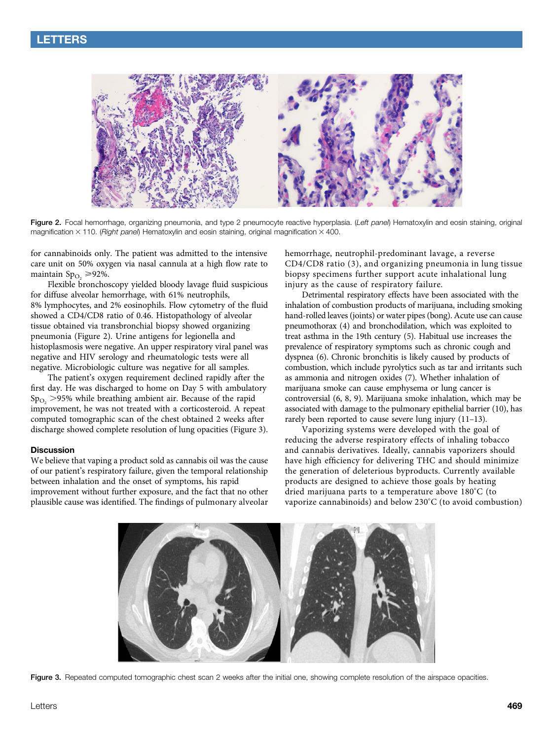

Figure 2. Focal hemorrhage, organizing pneumonia, and type 2 pneumocyte reactive hyperplasia. (Left pane) Hematoxylin and eosin staining, original magnification  $\times$  110. (Right panel) Hematoxylin and eosin staining, original magnification  $\times$  400.

for cannabinoids only. The patient was admitted to the intensive care unit on 50% oxygen via nasal cannula at a high flow rate to maintain Sp<sub>O<sub>2</sub></sub>  $\geq$  92%.

Flexible bronchoscopy yielded bloody lavage fluid suspicious for diffuse alveolar hemorrhage, with 61% neutrophils, 8% lymphocytes, and 2% eosinophils. Flow cytometry of the fluid showed a CD4/CD8 ratio of 0.46. Histopathology of alveolar tissue obtained via transbronchial biopsy showed organizing pneumonia (Figure 2). Urine antigens for legionella and histoplasmosis were negative. An upper respiratory viral panel was negative and HIV serology and rheumatologic tests were all negative. Microbiologic culture was negative for all samples.

The patient's oxygen requirement declined rapidly after the first day. He was discharged to home on Day 5 with ambulatory  $Sp<sub>O<sub>2</sub></sub> >95%$  while breathing ambient air. Because of the rapid improvement, he was not treated with a corticosteroid. A repeat computed tomographic scan of the chest obtained 2 weeks after discharge showed complete resolution of lung opacities (Figure 3).

#### **Discussion**

We believe that vaping a product sold as cannabis oil was the cause of our patient's respiratory failure, given the temporal relationship between inhalation and the onset of symptoms, his rapid improvement without further exposure, and the fact that no other plausible cause was identified. The findings of pulmonary alveolar hemorrhage, neutrophil-predominant lavage, a reverse CD4/CD8 ratio (3), and organizing pneumonia in lung tissue biopsy specimens further support acute inhalational lung injury as the cause of respiratory failure.

Detrimental respiratory effects have been associated with the inhalation of combustion products of marijuana, including smoking hand-rolled leaves (joints) or water pipes (bong). Acute use can cause pneumothorax (4) and bronchodilation, which was exploited to treat asthma in the 19th century (5). Habitual use increases the prevalence of respiratory symptoms such as chronic cough and dyspnea (6). Chronic bronchitis is likely caused by products of combustion, which include pyrolytics such as tar and irritants such as ammonia and nitrogen oxides (7). Whether inhalation of marijuana smoke can cause emphysema or lung cancer is controversial (6, 8, 9). Marijuana smoke inhalation, which may be associated with damage to the pulmonary epithelial barrier (10), has rarely been reported to cause severe lung injury (11–13).

Vaporizing systems were developed with the goal of reducing the adverse respiratory effects of inhaling tobacco and cannabis derivatives. Ideally, cannabis vaporizers should have high efficiency for delivering THC and should minimize the generation of deleterious byproducts. Currently available products are designed to achieve those goals by heating dried marijuana parts to a temperature above  $180^{\circ}$ C (to vaporize cannabinoids) and below  $230^{\circ}$ C (to avoid combustion)



Figure 3. Repeated computed tomographic chest scan 2 weeks after the initial one, showing complete resolution of the airspace opacities.